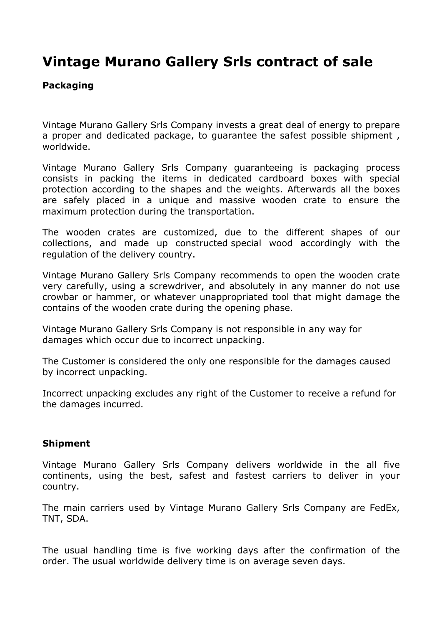# **Vintage Murano Gallery Srls contract of sale**

# **Packaging**

Vintage Murano Gallery Srls Company invests a great deal of energy to prepare a proper and dedicated package, to guarantee the safest possible shipment , worldwide.

Vintage Murano Gallery Srls Company guaranteeing is packaging process consists in packing the items in dedicated cardboard boxes with special protection according to the shapes and the weights. Afterwards all the boxes are safely placed in a unique and massive wooden crate to ensure the maximum protection during the transportation.

The wooden crates are customized, due to the different shapes of our collections, and made up constructed special wood accordingly with the regulation of the delivery country.

Vintage Murano Gallery Srls Company recommends to open the wooden crate very carefully, using a screwdriver, and absolutely in any manner do not use crowbar or hammer, or whatever unappropriated tool that might damage the contains of the wooden crate during the opening phase.

Vintage Murano Gallery Srls Company is not responsible in any way for damages which occur due to incorrect unpacking.

The Customer is considered the only one responsible for the damages caused by incorrect unpacking.

Incorrect unpacking excludes any right of the Customer to receive a refund for the damages incurred.

# **Shipment**

Vintage Murano Gallery Srls Company delivers worldwide in the all five continents, using the best, safest and fastest carriers to deliver in your country.

The main carriers used by Vintage Murano Gallery Srls Company are FedEx, TNT, SDA.

The usual handling time is five working days after the confirmation of the order. The usual worldwide delivery time is on average seven days.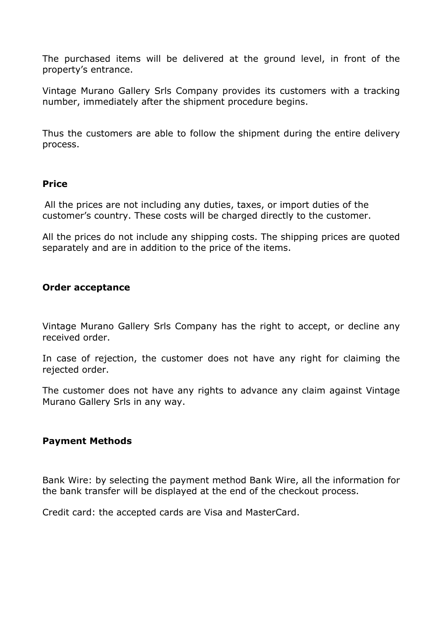The purchased items will be delivered at the ground level, in front of the property's entrance.

Vintage Murano Gallery Srls Company provides its customers with a tracking number, immediately after the shipment procedure begins.

Thus the customers are able to follow the shipment during the entire delivery process.

#### **Price**

All the prices are not including any duties, taxes, or import duties of the customer's country. These costs will be charged directly to the customer.

All the prices do not include any shipping costs. The shipping prices are quoted separately and are in addition to the price of the items.

#### **Order acceptance**

Vintage Murano Gallery Srls Company has the right to accept, or decline any received order.

In case of rejection, the customer does not have any right for claiming the rejected order.

The customer does not have any rights to advance any claim against Vintage Murano Gallery Srls in any way.

#### **Payment Methods**

Bank Wire: by selecting the payment method Bank Wire, all the information for the bank transfer will be displayed at the end of the checkout process.

Credit card: the accepted cards are Visa and MasterCard.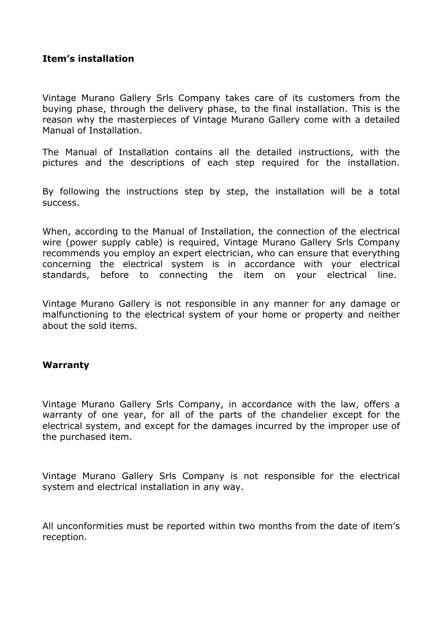# **Item's installation**

Vintage Murano Gallery Srls Company takes care of its customers from the buying phase, through the delivery phase, to the final installation. This is the reason why the masterpieces of Vintage Murano Gallery come with a detailed Manual of Installation.

The Manual of Installation contains all the detailed instructions, with the pictures and the descriptions of each step required for the installation.

By following the instructions step by step, the installation will be a total success.

When, according to the Manual of Installation, the connection of the electrical wire (power supply cable) is required, Vintage Murano Gallery Srls Company recommends you employ an expert electrician, who can ensure that everything concerning the electrical system is in accordance with your electrical standards, before to connecting the item on your electrical line.

Vintage Murano Gallery is not responsible in any manner for any damage or malfunctioning to the electrical system of your home or property and neither about the sold items.

#### **Warranty**

Vintage Murano Gallery Srls Company, in accordance with the law, offers a warranty of one year, for all of the parts of the chandelier except for the electrical system, and except for the damages incurred by the improper use of the purchased item.

Vintage Murano Gallery Srls Company is not responsible for the electrical system and electrical installation in any way.

All unconformities must be reported within two months from the date of item's reception.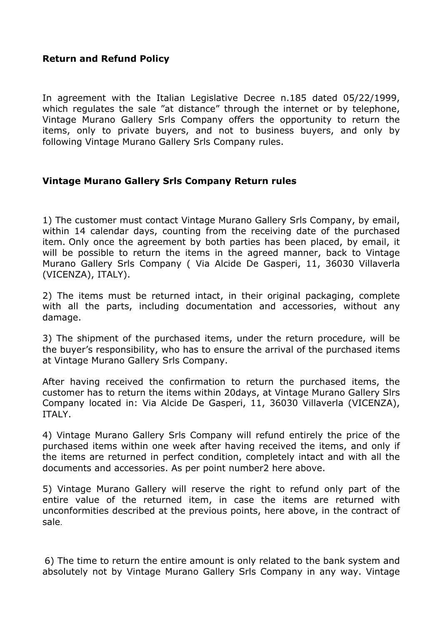# **Return and Refund Policy**

In agreement with the Italian Legislative Decree n.185 dated 05/22/1999, which regulates the sale "at distance" through the internet or by telephone, Vintage Murano Gallery Srls Company offers the opportunity to return the items, only to private buyers, and not to business buyers, and only by following Vintage Murano Gallery Srls Company rules.

# **Vintage Murano Gallery Srls Company Return rules**

1) The customer must contact Vintage Murano Gallery Srls Company, by email, within 14 calendar days, counting from the receiving date of the purchased item. Only once the agreement by both parties has been placed, by email, it will be possible to return the items in the agreed manner, back to Vintage Murano Gallery Srls Company ( Via Alcide De Gasperi, 11, 36030 Villaverla (VICENZA), ITALY).

2) The items must be returned intact, in their original packaging, complete with all the parts, including documentation and accessories, without any damage.

3) The shipment of the purchased items, under the return procedure, will be the buyer's responsibility, who has to ensure the arrival of the purchased items at Vintage Murano Gallery Srls Company.

After having received the confirmation to return the purchased items, the customer has to return the items within 20days, at Vintage Murano Gallery Slrs Company located in: Via Alcide De Gasperi, 11, 36030 Villaverla (VICENZA), ITALY.

4) Vintage Murano Gallery Srls Company will refund entirely the price of the purchased items within one week after having received the items, and only if the items are returned in perfect condition, completely intact and with all the documents and accessories. As per point number2 here above.

5) Vintage Murano Gallery will reserve the right to refund only part of the entire value of the returned item, in case the items are returned with unconformities described at the previous points, here above, in the contract of sale.

6) The time to return the entire amount is only related to the bank system and absolutely not by Vintage Murano Gallery Srls Company in any way. Vintage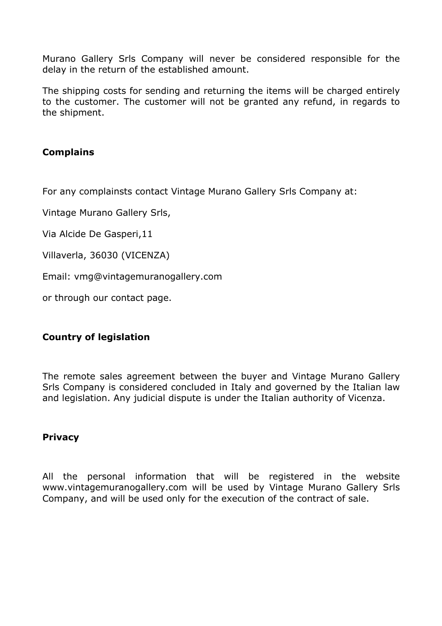Murano Gallery Srls Company will never be considered responsible for the delay in the return of the established amount.

The shipping costs for sending and returning the items will be charged entirely to the customer. The customer will not be granted any refund, in regards to the shipment.

# **Complains**

For any complainsts contact Vintage Murano Gallery Srls Company at:

Vintage Murano Gallery Srls,

Via Alcide De Gasperi,11

Villaverla, 36030 (VICENZA)

Email: vmg@vintagemuranogallery.com

or through our contact page.

# **Country of legislation**

The remote sales agreement between the buyer and Vintage Murano Gallery Srls Company is considered concluded in Italy and governed by the Italian law and legislation. Any judicial dispute is under the Italian authority of Vicenza.

#### **Privacy**

All the personal information that will be registered in the website www.vintagemuranogallery.com will be used by Vintage Murano Gallery Srls Company, and will be used only for the execution of the contract of sale.